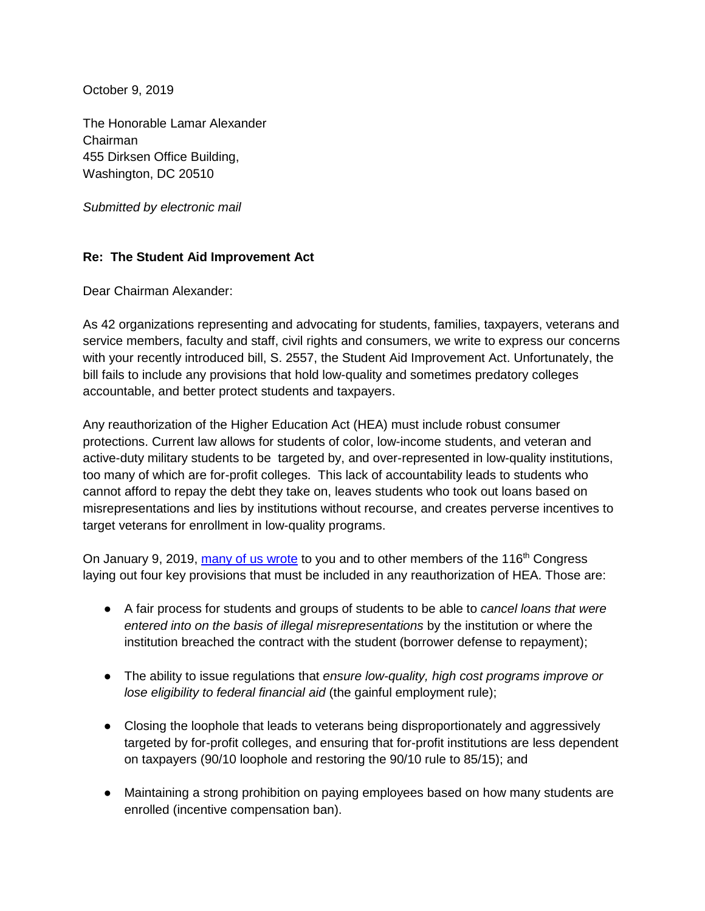October 9, 2019

The Honorable Lamar Alexander Chairman 455 Dirksen Office Building, Washington, DC 20510

*Submitted by electronic mail* 

## **Re: The Student Aid Improvement Act**

Dear Chairman Alexander:

As 42 organizations representing and advocating for students, families, taxpayers, veterans and service members, faculty and staff, civil rights and consumers, we write to express our concerns with your recently introduced bill, S. 2557, the Student Aid Improvement Act. Unfortunately, the bill fails to include any provisions that hold low-quality and sometimes predatory colleges accountable, and better protect students and taxpayers.

Any reauthorization of the Higher Education Act (HEA) must include robust consumer protections. Current law allows for students of color, low-income students, and veteran and active-duty military students to be targeted by, and over-represented in low-quality institutions, too many of which are for-profit colleges. This lack of accountability leads to students who cannot afford to repay the debt they take on, leaves students who took out loans based on misrepresentations and lies by institutions without recourse, and creates perverse incentives to target veterans for enrollment in low-quality programs.

On January 9, 2019, [many of us wrote](https://ticas.org/files/pub_files/116congresscoalition.pdf) to you and to other members of the 116<sup>th</sup> Congress laying out four key provisions that must be included in any reauthorization of HEA. Those are:

- A fair process for students and groups of students to be able to *cancel loans that were entered into on the basis of illegal misrepresentations* by the institution or where the institution breached the contract with the student (borrower defense to repayment);
- The ability to issue regulations that *ensure low-quality, high cost programs improve or lose eligibility to federal financial aid* (the gainful employment rule);
- Closing the loophole that leads to veterans being disproportionately and aggressively targeted by for-profit colleges, and ensuring that for-profit institutions are less dependent on taxpayers (90/10 loophole and restoring the 90/10 rule to 85/15); and
- Maintaining a strong prohibition on paying employees based on how many students are enrolled (incentive compensation ban).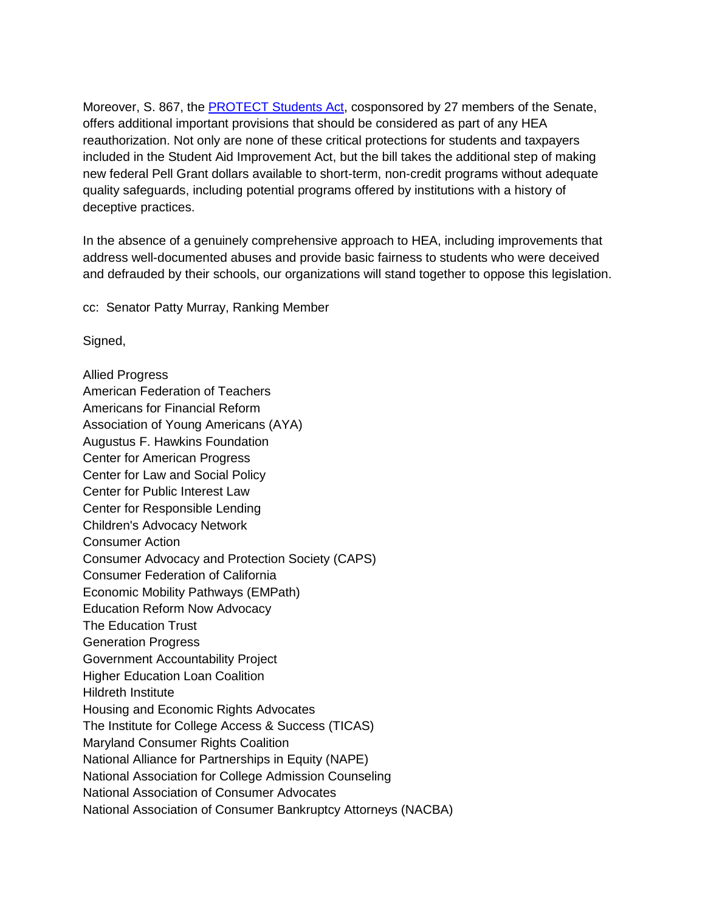Moreover, S. 867, the **PROTECT Students Act**, cosponsored by 27 members of the Senate, offers additional important provisions that should be considered as part of any HEA reauthorization. Not only are none of these critical protections for students and taxpayers included in the Student Aid Improvement Act, but the bill takes the additional step of making new federal Pell Grant dollars available to short-term, non-credit programs without adequate quality safeguards, including potential programs offered by institutions with a history of deceptive practices.

In the absence of a genuinely comprehensive approach to HEA, including improvements that address well-documented abuses and provide basic fairness to students who were deceived and defrauded by their schools, our organizations will stand together to oppose this legislation.

cc: Senator Patty Murray, Ranking Member

Signed,

Allied Progress American Federation of Teachers Americans for Financial Reform Association of Young Americans (AYA) Augustus F. Hawkins Foundation Center for American Progress Center for Law and Social Policy Center for Public Interest Law Center for Responsible Lending Children's Advocacy Network Consumer Action Consumer Advocacy and Protection Society (CAPS) Consumer Federation of California Economic Mobility Pathways (EMPath) Education Reform Now Advocacy The Education Trust Generation Progress Government Accountability Project Higher Education Loan Coalition Hildreth Institute Housing and Economic Rights Advocates The Institute for College Access & Success (TICAS) Maryland Consumer Rights Coalition National Alliance for Partnerships in Equity (NAPE) National Association for College Admission Counseling National Association of Consumer Advocates National Association of Consumer Bankruptcy Attorneys (NACBA)